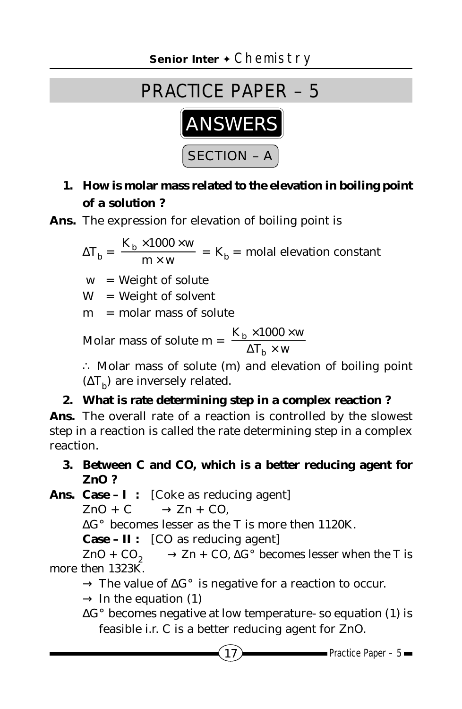# PRACTICE PAPER – 5



## **1. How is molar mass related to the elevation in boiling point of a solution ?**

**Ans.** The expression for elevation of boiling point is

$$
\Delta T_b = \frac{K_b \times 1000 \times w}{m \times w} = K_b = \text{molal elevation constant}
$$

 $w = Weight of solute$ 

 $W = Weight of solvent$ 

m = molar mass of solute

Molar mass of solute m = 
$$
\frac{K_b \times 1000 \times w}{\Delta T_b \times w}
$$

∴ Molar mass of solute (m) and elevation of boiling point  $(\Delta T_h)$  are inversely related.

### **2. What is rate determining step in a complex reaction ?**

**Ans.** The overall rate of a reaction is controlled by the slowest step in a reaction is called the rate determining step in a complex reaction.

#### **3. Between C and CO, which is a better reducing agent for ZnO ?**

**Ans. Case – I :** [Coke as reducing agent]

 $ZnO + C \longrightarrow Zn + CO$ .

∆G° becomes lesser as the T is more then 1120K.

**Case – II :** [CO as reducing agent]

ZnO +  $CO_2$  → Zn + CO,  $\Delta G^{\circ}$  becomes lesser when the T is more then 1323K.

→ The value of ∆G° is negative for a reaction to occur.

 $\rightarrow$  In the equation (1)

∆G° becomes negative at low temperature- so equation (1) is feasible i.r. C is a better reducing agent for ZnO.

 $17$  Practice Paper – 5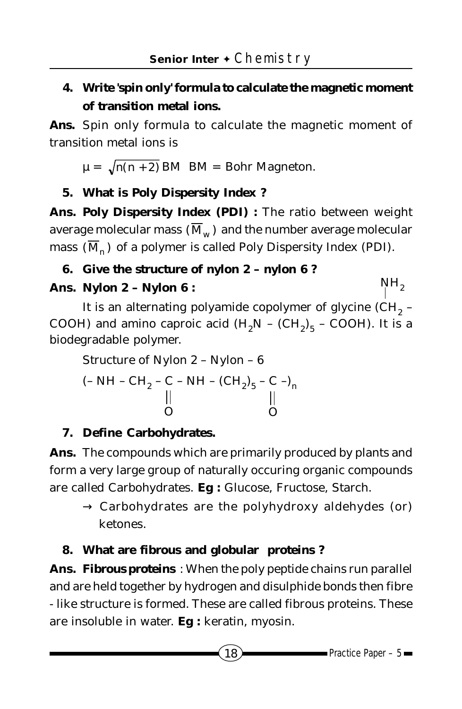# **4. Write 'spin only' formula to calculate the magnetic moment of transition metal ions.**

**Ans.** Spin only formula to calculate the magnetic moment of transition metal ions is

 $\mu = \sqrt{n(n + 2)}$  BM BM = Bohr Magneton.

### **5. What is Poly Dispersity Index ?**

Ans. Poly Dispersity Index (PDI) : The ratio between weight average molecular mass  $(\overline{M}_w)$  and the number average molecular mass  $(\overline{M}_n)$  of a polymer is called Poly Dispersity Index (PDI).

## **6. Give the structure of nylon 2 – nylon 6 ?**

## **Ans. Nylon 2 – Nylon 6 :**

It is an alternating polyamide copolymer of glycine  $\text{CH}_2$  -COOH) and amino caproic acid  $(H_2N - (CH_2)_{5} - COOH)$ . It is a biodegradable polymer.

Structure of Nylon 2 – Nylon – 6 (- NH – CH<sub>2</sub> – C – NH – (CH<sub>2</sub>)<sub>5</sub> – C –)<sub>n</sub> O O

## **7. Define Carbohydrates.**

**Ans.** The compounds which are primarily produced by plants and form a very large group of naturally occuring organic compounds are called Carbohydrates. **Eg :** Glucose, Fructose, Starch.

 $\rightarrow$  Carbohydrates are the polyhydroxy aldehydes (or) ketones.

## **8. What are fibrous and globular proteins ?**

**Ans. Fibrous proteins** : When the poly peptide chains run parallel and are held together by hydrogen and disulphide bonds then fibre - like structure is formed. These are called fibrous proteins. These are insoluble in water. **Eg :** keratin, myosin.

 $NH<sub>2</sub>$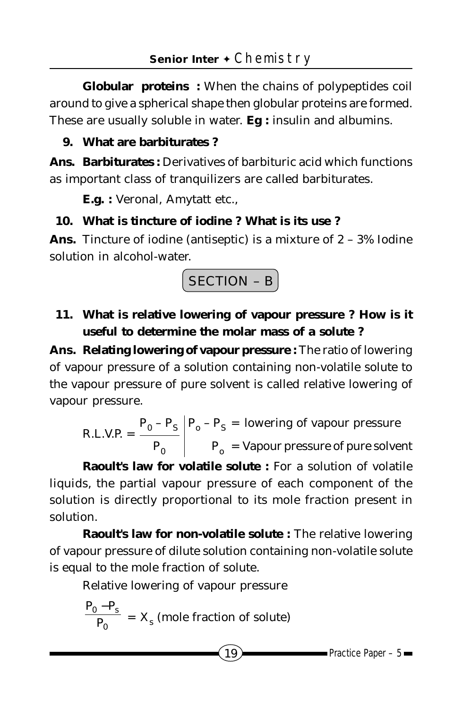**Globular proteins :** When the chains of polypeptides coil around to give a spherical shape then globular proteins are formed. These are usually soluble in water. **Eg :** insulin and albumins.

#### **9. What are barbiturates ?**

**Ans. Barbiturates :** Derivatives of barbituric acid which functions as important class of tranquilizers are called barbiturates.

**E.g. :** Veronal, Amytatt etc.,

#### **10. What is tincture of iodine ? What is its use ?**

**Ans.** Tincture of iodine (antiseptic) is a mixture of 2 – 3% Iodine solution in alcohol-water.



**11. What is relative lowering of vapour pressure ? How is it useful to determine the molar mass of a solute ?**

**Ans. Relating lowering of vapour pressure :** The ratio of lowering of vapour pressure of a solution containing non-volatile solute to the vapour pressure of pure solvent is called relative lowering of vapour pressure.

R.L.V.P. =  $\frac{P_0 - P_S}{P_0 - P_S}$   $P_0 - P_S$  = lowering of vapour pressure  $P_0$   $P_0$  = Vapour pressure of pure solvent

**Raoult's law for volatile solute :** For a solution of volatile liquids, the partial vapour pressure of each component of the solution is directly proportional to its mole fraction present in solution.

**Raoult's law for non-volatile solute :** The relative lowering of vapour pressure of dilute solution containing non-volatile solute is equal to the mole fraction of solute.

Relative lowering of vapour pressure

$$
\frac{P_0 - P_s}{P_0} = X_s
$$
 (mole fraction of solute)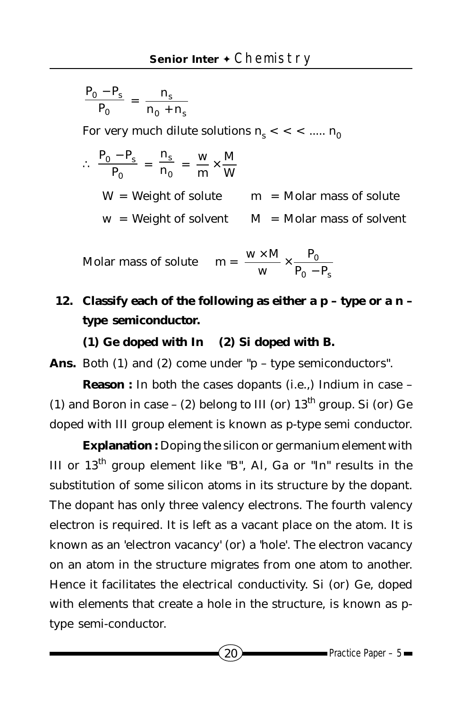$$
\frac{\mathbf{P}_0 - \mathbf{P}_s}{\mathbf{P}_0} = \frac{\mathbf{n}_s}{\mathbf{n}_0 + \mathbf{n}_s}
$$

For very much dilute solutions  $n_{\rm s} <$  <  $<$  .....  $n_{\rm 0}$ 

$$
\therefore \frac{P_0 - P_s}{P_0} = \frac{n_s}{n_0} = \frac{w}{m} \times \frac{M}{W}
$$
  
W = Weight of solute m = Molar mass of solute  
w = Weight of solvent M = Molar mass of solvent

Molar mass of solute 
$$
m = \frac{w \times M}{w} \times \frac{P_0}{P_0 - P_s}
$$

**12. Classify each of the following as either a p – type or a n – type semiconductor.**

**(1) Ge doped with In (2) Si doped with B.**

Ans. Both (1) and (2) come under "p – type semiconductors".

**Reason :** In both the cases dopants (i.e.,) Indium in case -(1) and Boron in case – (2) belong to III (or)  $13<sup>th</sup>$  group. Si (or) Ge doped with III group element is known as p-type semi conductor.

**Explanation :** Doping the silicon or germanium element with III or 13th group element like "B", A*l*, Ga or "In" results in the substitution of some silicon atoms in its structure by the dopant. The dopant has only three valency electrons. The fourth valency electron is required. It is left as a vacant place on the atom. It is known as an 'electron vacancy' (or) a 'hole'. The electron vacancy on an atom in the structure migrates from one atom to another. Hence it facilitates the electrical conductivity. Si (or) Ge, doped with elements that create a hole in the structure, is known as ptype semi-conductor.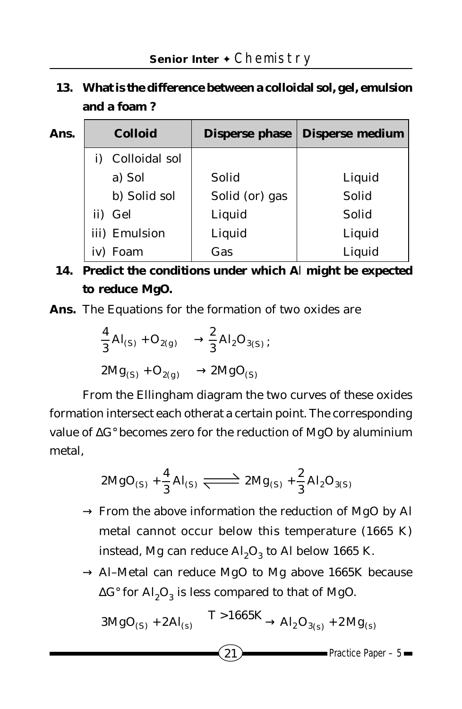# **13. What is the difference between a colloidal sol, gel, emulsion and a foam ?**

| Ans. |     | <b>Colloid</b> |                | Disperse phase   Disperse medium |
|------|-----|----------------|----------------|----------------------------------|
|      |     | Colloidal sol  |                |                                  |
|      |     | a) Sol         | Solid          | Liquid                           |
|      |     | b) Solid sol   | Solid (or) gas | Solid                            |
|      |     | ii) Gel        | Liquid         | Solid                            |
|      |     | iii) Emulsion  | Liquid         | Liquid                           |
|      | iv) | Foam           | Gas            | Liquid                           |

## **14. Predict the conditions under which A***l* **might be expected to reduce MgO.**

**Ans.** The Equations for the formation of two oxides are

$$
\frac{4}{3} A I_{(S)} + O_{2(g)} \longrightarrow \frac{2}{3} A I_2 O_{3(S)} ;
$$
  
 
$$
2Mg_{(S)} + O_{2(g)} \longrightarrow 2MgO_{(S)}
$$

From the Ellingham diagram the two curves of these oxides formation intersect each otherat a certain point. The corresponding value of ∆G° becomes zero for the reduction of MgO by aluminium metal,

$$
2\text{MgO}_{(S)} + \frac{4}{3}\text{Al}_{(S)} \xrightarrow{\longrightarrow} 2\text{Mg}_{(S)} + \frac{2}{3}\text{Al}_{2}\text{O}_{3(S)}
$$

- → From the above information the reduction of MgO by A*l* metal cannot occur below this temperature (1665 K) instead, Mg can reduce  $\text{Al}_2\text{O}_3$  to Al below 1665 K.
- → A*l–*Metal can reduce MgO to Mg above 1665K because  $\Delta G^{\circ}$  for  $\mathrm{A}l_2\mathrm{O}_3$  is less compared to that of MgO.

$$
3MgO_{(S)}+2Al_{(s)}\frac{T>1665K}{\longrightarrow} Al_2O_{3(s)}+2Mg_{(s)}
$$

 $21$  Practice Paper – 5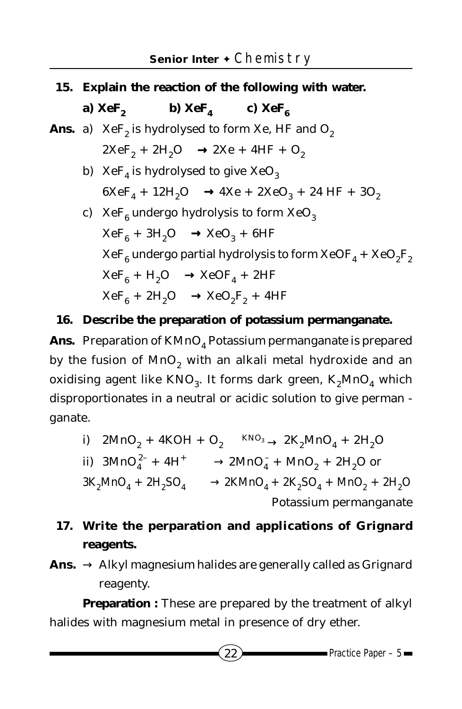- **15. Explain the reaction of the following with water.**
	- **a)**  $XeF_2$  **b)**  $XeF_4$  **c)**  $XeF_6$
- **Ans.** a)  $XeF_2$  is hydrolysed to form Xe, HF and  $O_2$  $2XeF_2 + 2H_2O \longrightarrow 2Xe + 4HF + O_2$ 
	- b)  $XeF_4$  is hydrolysed to give  $XeO_3$  $6XeF_4 + 12H_2O \longrightarrow 4Xe + 2XeO_3 + 24HF + 3O_2$
	- c) XeF<sub>6</sub> undergo hydrolysis to form XeO<sub>3</sub>  $XeF_6 + 3H_2O \longrightarrow XeO_3 + 6HF$  $XeF_6$  undergo partial hydrolysis to form  $XeOF_4 + XeO_2F_2$  $XeF_6 + H_2O \longrightarrow XeOF_4 + 2HF$  $XeF_6 + 2H_2O \longrightarrow XeO_2F_2 + 4HF$

#### **16. Describe the preparation of potassium permanganate.**

Ans. Preparation of KMnO<sub>4</sub> Potassium permanganate is prepared by the fusion of  $MnO<sub>2</sub>$  with an alkali metal hydroxide and an oxidising agent like  $KNO_3$ . It forms dark green,  $K_2MnO_4$  which disproportionates in a neutral or acidic solution to give perman ganate.

i) 
$$
2MnO_2 + 4KOH + O_2 \xrightarrow{KNO_3} 2K_2MnO_4 + 2H_2O
$$
  
\nii)  $3MnO_4^{2-} + 4H^+ \longrightarrow 2MnO_4^- + MnO_2 + 2H_2O$  or  
\n $3K_2MnO_4 + 2H_2SO_4 \longrightarrow 2KMnO_4 + 2K_2SO_4 + MnO_2 + 2H_2O$   
\nPotassium permanganate

## **17. Write the perparation and applications of Grignard reagents.**

Ans.  $\rightarrow$  Alkyl magnesium halides are generally called as Grignard reagenty.

**Preparation :** These are prepared by the treatment of alkyl halides with magnesium metal in presence of dry ether.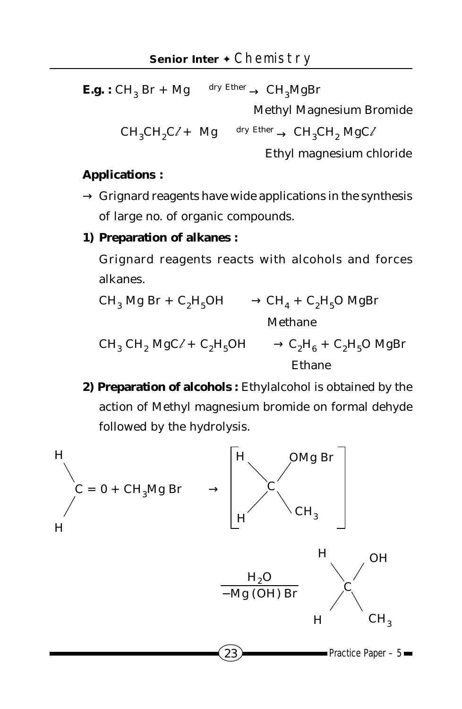**E.g. :**  $CH_3 Br + Mg \xrightarrow{dry Ether} CH_3 MgBr$ 

Methyl Magnesium Bromide

 $CH_3CH_2C/+$  Mg  $\longrightarrow$  dry Ether  $\longrightarrow$  CH<sub>3</sub>CH<sub>2</sub> MgC/

Ethyl magnesium chloride

#### **Applications :**

 $\rightarrow$  Grignard reagents have wide applications in the synthesis of large no. of organic compounds.

#### **1) Preparation of alkanes :**

Grignard reagents reacts with alcohols and forces alkanes.

$$
CH_3 Mg Br + C_2H_5OH \longrightarrow CH_4 + C_2H_5O MgBr
$$
  
Method  
Method: 
$$
CH_3 CH_2 MgC \ell + C_2H_5OH \longrightarrow C_2H_6 + C_2H_5O MgBr
$$

Ethane

**2) Preparation of alcohols :** Ethylalcohol is obtained by the action of Methyl magnesium bromide on formal dehyde followed by the hydrolysis.

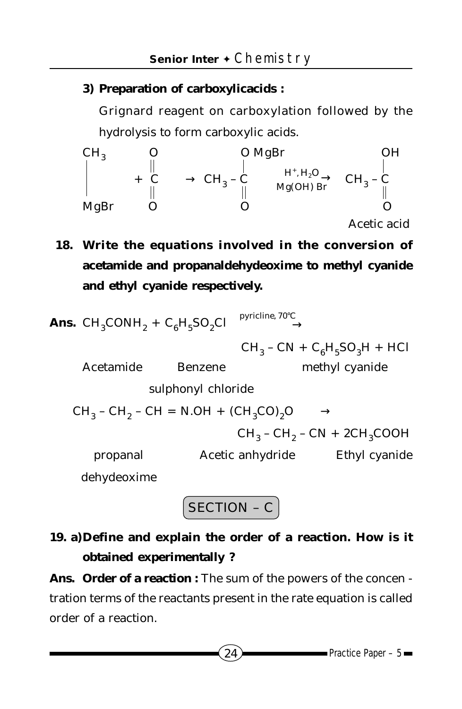#### **3) Preparation of carboxylicacids :**

Grignard reagent on carboxylation followed by the hydrolysis to form carboxylic acids.

CH<sub>3</sub> O MgBr  
\n
$$
+ C \longrightarrow CH_3 - C
$$
\n
$$
+ C \longrightarrow CH_3 - C
$$
\n
$$
+ C \longrightarrow CH_3 - C
$$
\n
$$
+ C \longrightarrow C
$$
\n
$$
+ C
$$
\n
$$
+ C
$$
\n
$$
+ C
$$
\n
$$
+ C
$$
\n
$$
+ C
$$
\n
$$
+ C
$$
\n
$$
+ C
$$
\n
$$
+ C
$$
\n
$$
+ C
$$
\n
$$
+ C
$$
\n
$$
+ C
$$
\n
$$
+ C
$$
\n
$$
+ C
$$
\n
$$
+ C
$$
\n
$$
+ C
$$
\n
$$
+ C
$$
\n
$$
+ C
$$
\n
$$
+ C
$$
\n
$$
+ C
$$
\n
$$
+ C
$$
\n
$$
+ C
$$
\n
$$
+ C
$$
\n
$$
+ C
$$
\n
$$
+ C
$$
\n
$$
+ C
$$
\n
$$
+ C
$$
\n
$$
+ C
$$
\n
$$
+ C
$$
\n
$$
+ C
$$
\n
$$
+ C
$$
\n
$$
+ C
$$
\n
$$
+ C
$$
\n
$$
+ C
$$
\n
$$
+ C
$$
\n
$$
+ C
$$
\n
$$
+ C
$$
\n
$$
+ C
$$
\n
$$
+ C
$$
\n
$$
+ C
$$
\n
$$
+ C
$$
\n
$$
+ C
$$
\n
$$
+ C
$$
\n
$$
+ C
$$
\n
$$
+ C
$$
\n
$$
+ C
$$
\n
$$
+ C
$$
\n
$$
+ C
$$
\n
$$
+ C
$$
\n
$$
+ C
$$
\n
$$
+ C
$$
\n
$$
+ C
$$
\n
$$
+ C
$$
\n
$$
+ C
$$
\n
$$
+ C
$$
\n
$$
+ C
$$
\n
$$
+ C
$$
\n
$$

$$

**18. Write the equations involved in the conversion of acetamide and propanaldehydeoxime to methyl cyanide and ethyl cyanide respectively.**

**Ans.** 
$$
CH_3CONH_2 + C_6H_5SO_2Cl \xrightarrow{\text{pyricline}, 70^\circ C}
$$

 $CH_3$  –  $CN + C_6H_5SO_3H + HCI$ Acetamide Benzene methyl cyanide sulphonyl chloride  $CH_3$  –  $CH_2$  –  $CH = N.OH + (CH_3CO)_2O \longrightarrow$  $CH_2$  –  $CH_9$  –  $CN + 2CH_3COOH$ propanal Acetic anhydride Ethyl cyanide

dehydeoxime

SECTION – C

# **19. a)Define and explain the order of a reaction. How is it obtained experimentally ?**

**Ans. Order of a reaction :** The sum of the powers of the concen tration terms of the reactants present in the rate equation is called order of a reaction.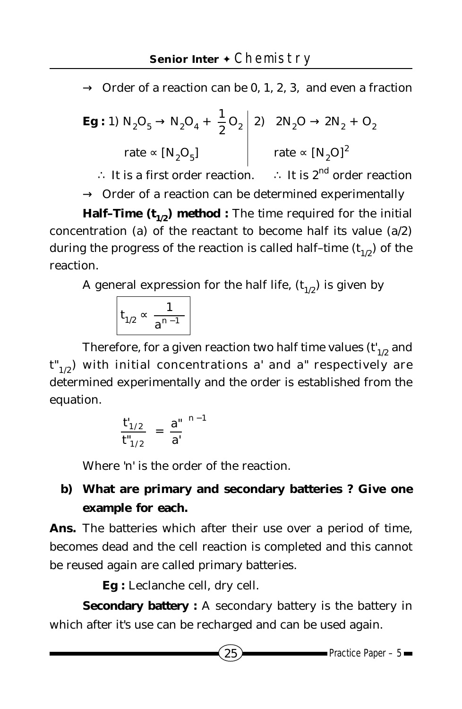$\rightarrow$  Order of a reaction can be 0, 1, 2, 3, and even a fraction

$$
\begin{array}{c|c}\n\text{Eg}: 1) \ N_2\text{O}_5 \rightarrow N_2\text{O}_4 + \frac{1}{2}\text{O}_2 & 2\text{N}_2\text{O} \rightarrow 2\text{N}_2 + \text{O}_2 \\
\text{rate} \propto \left[\text{N}_2\text{O}_5\right] & \text{rate} \propto \left[\text{N}_2\text{O}\right]^2\n\end{array}
$$

∴ It is a first order reaction. ∴ It is  $2^{nd}$  order reaction  $\rightarrow$  Order of a reaction can be determined experimentally

**Half-Time**  $(t_{1/2})$  **method :** The time required for the initial concentration (a) of the reactant to become half its value  $(a/2)$ during the progress of the reaction is called half-time  $(t_{1/2})$  of the reaction.

A general expression for the half life,  $(t_{1/2})$  is given by

$$
t_{1/2} \propto \frac{1}{a^{n-1}}
$$

Therefore, for a given reaction two half time values  $(t'_{1/2}$  and  $t_{1/2}$ ) with initial concentrations a' and a" respectively are determined experimentally and the order is established from the equation.

$$
\left(\frac{\mathbf{t'}_{1/2}}{\mathbf{t''}_{1/2}}\right) = \left(\frac{\mathbf{a''}}{\mathbf{a'}}\right)^{n-1}
$$

Where 'n' is the order of the reaction.

## **b) What are primary and secondary batteries ? Give one example for each.**

**Ans.** The batteries which after their use over a period of time, becomes dead and the cell reaction is completed and this cannot be reused again are called primary batteries.

**Eg :** Leclanche cell, dry cell.

**Secondary battery :** A secondary battery is the battery in which after it's use can be recharged and can be used again.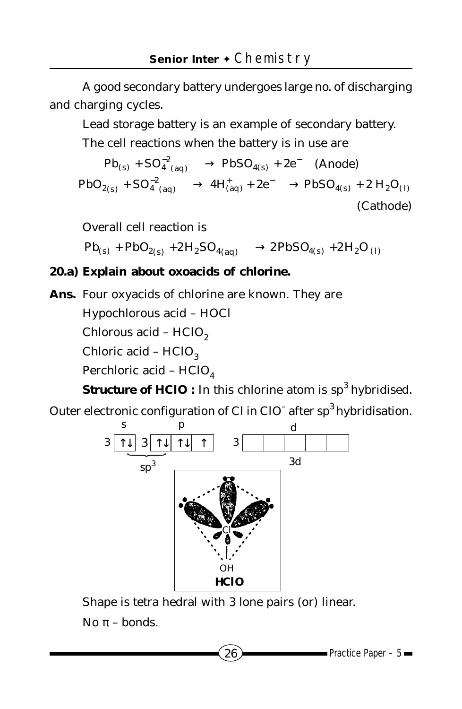A good secondary battery undergoes large no. of discharging and charging cycles.

Lead storage battery is an example of secondary battery.

The cell reactions when the battery is in use are

$$
Pb_{(s)} + SO_4^{-2}(aq) \longrightarrow PbSO_{4(s)} + 2e^- \quad \text{(Anode)}
$$
\n
$$
PbO_{2(s)} + SO_4^{-2}(aq) \longrightarrow 4H_{(aq)}^+ + 2e^- \longrightarrow PbSO_{4(s)} + 2H_2O_{(l)}
$$
\n(Cathode)

Overall cell reaction is

 $Pb_{(s)}$  +  $PbO_{2(s)}$  +  $2H_2SO_{4(aq)}$   $\longrightarrow$   $2PbSO_{4(s)}$  +  $2H_2O_{(l)}$ 

#### **20.a) Explain about oxoacids of chlorine.**

**Ans.** Four oxyacids of chlorine are known. They are

Hypochlorous acid – HOC*l*

Chlorous acid - HC*lO*<sub>2</sub>

Chloric acid – HC*l*O<sub>3</sub>

Perchloric acid – HC*l*O<sub>4</sub>

**Structure of HC***l***O** : In this chlorine atom is sp<sup>3</sup> hybridised.

Outer electronic configuration of C*l* in C*l*O<sup>–</sup> after sp<sup>3</sup> hybridisation.



Shape is tetra hedral with 3 lone pairs (or) linear. No  $π$  – bonds.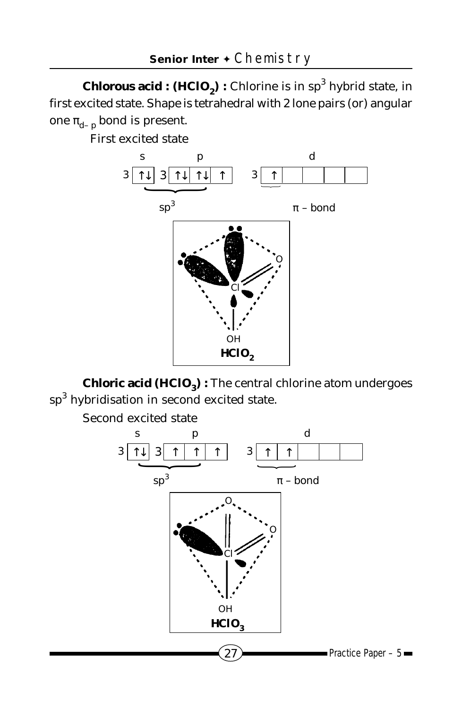**Chlorous acid :**  $(HCIO<sub>2</sub>)$  **:** Chlorine is in  $sp<sup>3</sup>$  hybrid state, in first excited state. Shape is tetrahedral with 2 lone pairs (or) angular one  $\pi_{d-p}$  bond is present.

First excited state



**Chloric acid (HC** $I$ **O<sub>3</sub>) :** The central chlorine atom undergoes  ${\rm sp}^3$  hybridisation in second excited state.

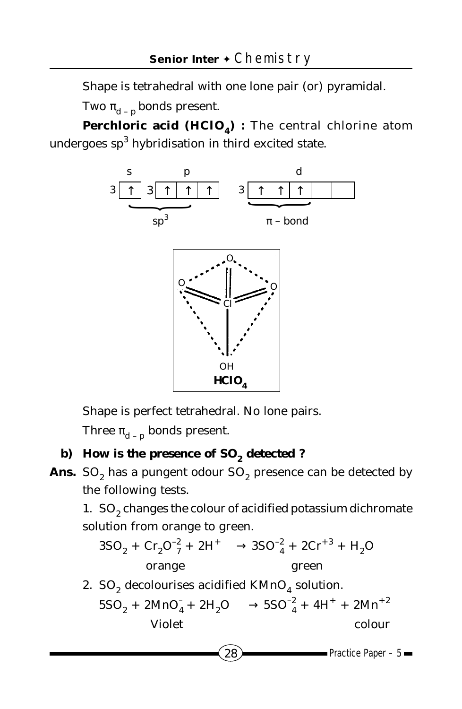Shape is tetrahedral with one lone pair (or) pyramidal.

Two  $\pi_{d}$  – p bonds present.

**Perchloric acid (HC***l***O<sub>***A***</sub>) : The central chlorine atom** undergoes  $\mathrm{sp}^3$  hybridisation in third excited state.





Shape is perfect tetrahedral. No lone pairs.

Three  $\pi_{d}$  – p bonds present.

## **b)** How is the presence of SO<sub>2</sub> detected ?

Ans. SO<sub>2</sub> has a pungent odour SO<sub>2</sub> presence can be detected by the following tests.

1. SO<sub>2</sub> changes the colour of acidified potassium dichromate solution from orange to green.

$$
3SO_2 + Cr_2O_7^{-2} + 2H^+ \longrightarrow 3SO_4^{-2} + 2Cr^{+3} + H_2O
$$
  
orange  
green

2. SO<sub>2</sub> decolourises acidified  $KMnO<sub>4</sub>$  solution.  $5SO_2 + 2MnO_4 + 2H_2O \longrightarrow 5SO_4^2 + 4H^+ + 2Mn^{+2}$ Violet colour

$$
\widehat{({\bf 28}}
$$

 $\longrightarrow$  Practice Paper – 5 $\longrightarrow$